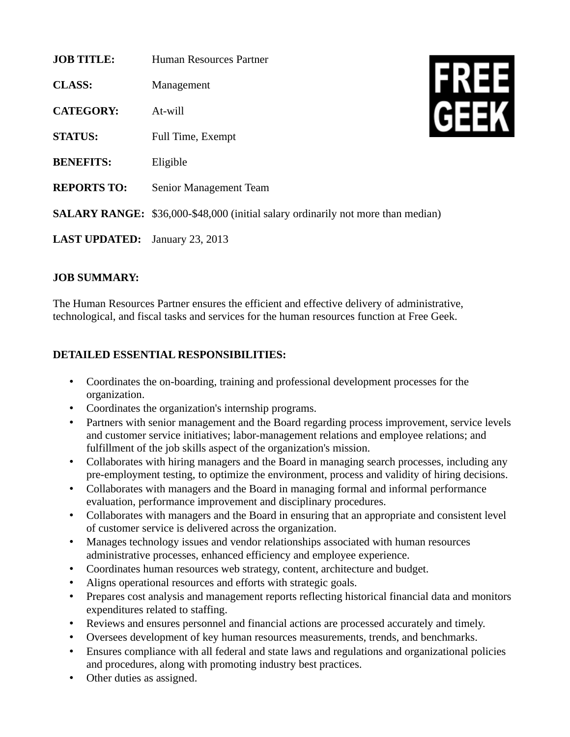| <b>JOB TITLE:</b>    | Human Resources Partner                                                                 |  |
|----------------------|-----------------------------------------------------------------------------------------|--|
| <b>CLASS:</b>        | Management                                                                              |  |
| <b>CATEGORY:</b>     | At-will                                                                                 |  |
| <b>STATUS:</b>       | Full Time, Exempt                                                                       |  |
| <b>BENEFITS:</b>     | Eligible                                                                                |  |
| <b>REPORTS TO:</b>   | Senior Management Team                                                                  |  |
|                      | <b>SALARY RANGE:</b> \$36,000-\$48,000 (initial salary ordinarily not more than median) |  |
| <b>LAST UPDATED:</b> | January 23, 2013                                                                        |  |

## **JOB SUMMARY:**

The Human Resources Partner ensures the efficient and effective delivery of administrative, technological, and fiscal tasks and services for the human resources function at Free Geek.

## **DETAILED ESSENTIAL RESPONSIBILITIES:**

- Coordinates the on-boarding, training and professional development processes for the organization.
- Coordinates the organization's internship programs.
- Partners with senior management and the Board regarding process improvement, service levels and customer service initiatives; labor-management relations and employee relations; and fulfillment of the job skills aspect of the organization's mission.
- Collaborates with hiring managers and the Board in managing search processes, including any pre-employment testing, to optimize the environment, process and validity of hiring decisions.
- Collaborates with managers and the Board in managing formal and informal performance evaluation, performance improvement and disciplinary procedures.
- Collaborates with managers and the Board in ensuring that an appropriate and consistent level of customer service is delivered across the organization.
- Manages technology issues and vendor relationships associated with human resources administrative processes, enhanced efficiency and employee experience.
- Coordinates human resources web strategy, content, architecture and budget.
- Aligns operational resources and efforts with strategic goals.
- Prepares cost analysis and management reports reflecting historical financial data and monitors expenditures related to staffing.
- Reviews and ensures personnel and financial actions are processed accurately and timely.
- Oversees development of key human resources measurements, trends, and benchmarks.
- Ensures compliance with all federal and state laws and regulations and organizational policies and procedures, along with promoting industry best practices.
- Other duties as assigned.